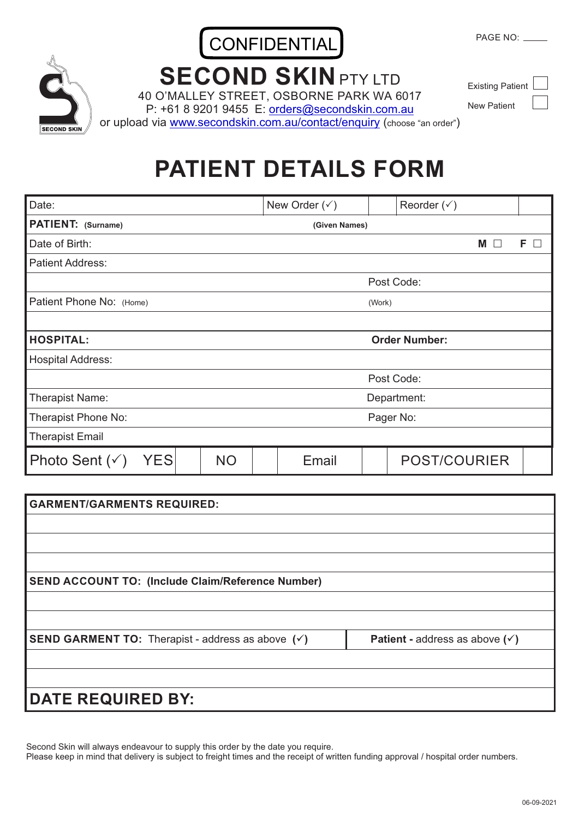## CONFIDENTIAL

PAGE NO: \_

## **SECOND SKINPTY LTD**

40 O'MALLEY STREET, OSBORNE PARK WA 6017

P: +61 8 9201 9455 E: orders@secondskin.com.au or upload via www.secondskin.com.au/contact/enquiry (choose "an order")

New Patient

## **PATIENT DETAILS FORM**

| Date:                                  |           | New Order $(\check{v})$ |           | Reorder $(\check{v})$ |   |            |
|----------------------------------------|-----------|-------------------------|-----------|-----------------------|---|------------|
| PATIENT: (Surname)                     |           | (Given Names)           |           |                       |   |            |
| Date of Birth:                         |           |                         |           |                       | M | $F$ $\Box$ |
| <b>Patient Address:</b>                |           |                         |           |                       |   |            |
|                                        |           |                         |           | Post Code:            |   |            |
| Patient Phone No: (Home)               |           |                         | (Work)    |                       |   |            |
|                                        |           |                         |           |                       |   |            |
| <b>HOSPITAL:</b>                       |           |                         |           | <b>Order Number:</b>  |   |            |
| <b>Hospital Address:</b>               |           |                         |           |                       |   |            |
|                                        |           |                         |           | Post Code:            |   |            |
| Therapist Name:                        |           |                         |           | Department:           |   |            |
| Therapist Phone No:                    |           |                         | Pager No: |                       |   |            |
| <b>Therapist Email</b>                 |           |                         |           |                       |   |            |
| <b>YES</b><br>Photo Sent $(\check{v})$ | <b>NO</b> | Email                   |           | <b>POST/COURIER</b>   |   |            |

| <b>GARMENT/GARMENTS REQUIRED:</b>                                   |                                                             |
|---------------------------------------------------------------------|-------------------------------------------------------------|
|                                                                     |                                                             |
|                                                                     |                                                             |
|                                                                     |                                                             |
| <b>SEND ACCOUNT TO: (Include Claim/Reference Number)</b>            |                                                             |
|                                                                     |                                                             |
|                                                                     |                                                             |
| <b>SEND GARMENT TO:</b> Therapist - address as above $(\checkmark)$ | <b>Patient - address as above (<math>\checkmark</math>)</b> |
|                                                                     |                                                             |
|                                                                     |                                                             |
| <b>DATE REQUIRED BY:</b>                                            |                                                             |

Second Skin will always endeavour to supply this order by the date you require.

Please keep in mind that delivery is subject to freight times and the receipt of written funding approval / hospital order numbers.



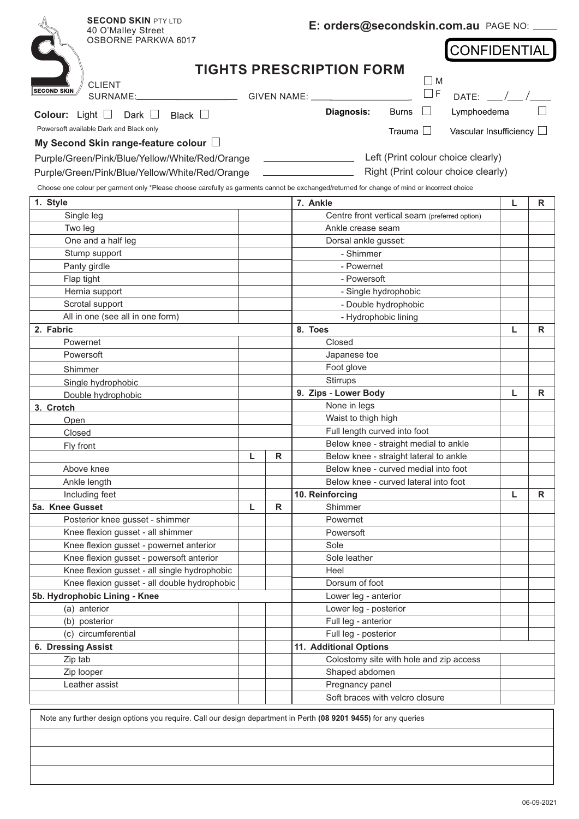| <b>SECOND SKIN PTY LTD</b><br>40 O'Malley Street<br><b>OSBORNE PARKWA 6017</b>                                                              |                              |             | E: orders@secondskin.com.au PAGE NO: __       |   |              |
|---------------------------------------------------------------------------------------------------------------------------------------------|------------------------------|-------------|-----------------------------------------------|---|--------------|
|                                                                                                                                             |                              |             | <b>CONFIDENTIAL</b>                           |   |              |
|                                                                                                                                             |                              |             | <b>TIGHTS PRESCRIPTION FORM</b>               |   |              |
| <b>CLIENT</b><br><b>SECOND SKIN</b>                                                                                                         |                              |             | M<br>$\Box$ F                                 |   |              |
| SURNAME:                                                                                                                                    |                              |             | GIVEN NAME: ____________<br>DATE:             |   |              |
| Black $\Box$<br><b>Colour:</b> Light $\Box$<br>Dark $\Box$                                                                                  |                              |             | Diagnosis:<br>Lymphoedema<br><b>Burns</b>     |   |              |
| Powersoft available Dark and Black only                                                                                                     |                              |             | Trauma $\Box$<br>Vascular Insufficiency       |   |              |
| My Second Skin range-feature colour L                                                                                                       |                              |             |                                               |   |              |
| Purple/Green/Pink/Blue/Yellow/White/Red/Orange                                                                                              |                              |             | Left (Print colour choice clearly)            |   |              |
| Purple/Green/Pink/Blue/Yellow/White/Red/Orange                                                                                              |                              |             | Right (Print colour choice clearly)           |   |              |
| Choose one colour per garment only *Please choose carefully as garments cannot be exchanged/returned for change of mind or incorrect choice |                              |             |                                               |   |              |
| 1. Style                                                                                                                                    |                              |             | 7. Ankle                                      | L | R            |
| Single leg                                                                                                                                  |                              |             | Centre front vertical seam (preferred option) |   |              |
| Two leg                                                                                                                                     |                              |             | Ankle crease seam                             |   |              |
| One and a half leg                                                                                                                          |                              |             | Dorsal ankle gusset:                          |   |              |
| Stump support                                                                                                                               |                              |             | - Shimmer                                     |   |              |
| Panty girdle                                                                                                                                |                              |             | - Powernet                                    |   |              |
| Flap tight                                                                                                                                  |                              | - Powersoft |                                               |   |              |
| Hernia support                                                                                                                              |                              |             | - Single hydrophobic                          |   |              |
| Scrotal support                                                                                                                             |                              |             | - Double hydrophobic                          |   |              |
| All in one (see all in one form)                                                                                                            |                              |             | - Hydrophobic lining                          |   |              |
| 2. Fabric                                                                                                                                   |                              |             | 8. Toes                                       | L | R            |
| Powernet                                                                                                                                    |                              |             | Closed                                        |   |              |
| Powersoft                                                                                                                                   |                              |             | Japanese toe                                  |   |              |
| Shimmer                                                                                                                                     |                              |             | Foot glove                                    |   |              |
| Single hydrophobic                                                                                                                          |                              |             | Stirrups                                      |   |              |
| Double hydrophobic                                                                                                                          |                              |             | 9. Zips - Lower Body                          | L | R            |
| 3. Crotch                                                                                                                                   |                              |             | None in legs                                  |   |              |
| Open                                                                                                                                        |                              |             | Waist to thigh high                           |   |              |
| Closed                                                                                                                                      | Full length curved into foot |             |                                               |   |              |
| Fly front                                                                                                                                   |                              |             | Below knee - straight medial to ankle         |   |              |
|                                                                                                                                             | L                            | R           | Below knee - straight lateral to ankle        |   |              |
| Above knee                                                                                                                                  |                              |             | Below knee - curved medial into foot          |   |              |
| Ankle length                                                                                                                                |                              |             | Below knee - curved lateral into foot         |   |              |
| Including feet                                                                                                                              |                              |             | 10. Reinforcing                               | L | $\mathsf{R}$ |
| 5a. Knee Gusset                                                                                                                             | L                            | R           | Shimmer                                       |   |              |
| Posterior knee gusset - shimmer                                                                                                             |                              |             | Powernet                                      |   |              |
| Knee flexion gusset - all shimmer                                                                                                           |                              |             | Powersoft                                     |   |              |
| Knee flexion gusset - powernet anterior                                                                                                     |                              |             | Sole                                          |   |              |
| Knee flexion gusset - powersoft anterior                                                                                                    |                              |             | Sole leather                                  |   |              |
| Knee flexion gusset - all single hydrophobic                                                                                                |                              |             | Heel                                          |   |              |
| Knee flexion gusset - all double hydrophobic                                                                                                |                              |             | Dorsum of foot                                |   |              |
| 5b. Hydrophobic Lining - Knee                                                                                                               |                              |             | Lower leg - anterior                          |   |              |
| (a) anterior<br>(b) posterior                                                                                                               |                              |             | Lower leg - posterior<br>Full leg - anterior  |   |              |
| (c) circumferential                                                                                                                         |                              |             | Full leg - posterior                          |   |              |
| 6. Dressing Assist                                                                                                                          |                              |             | 11. Additional Options                        |   |              |
| Zip tab                                                                                                                                     |                              |             | Colostomy site with hole and zip access       |   |              |
| Zip looper                                                                                                                                  |                              |             | Shaped abdomen                                |   |              |
| Leather assist                                                                                                                              |                              |             | Pregnancy panel                               |   |              |
|                                                                                                                                             |                              |             | Soft braces with velcro closure               |   |              |
|                                                                                                                                             |                              |             |                                               |   |              |
| Note any further design options you require. Call our design department in Perth (08 9201 9455) for any queries                             |                              |             |                                               |   |              |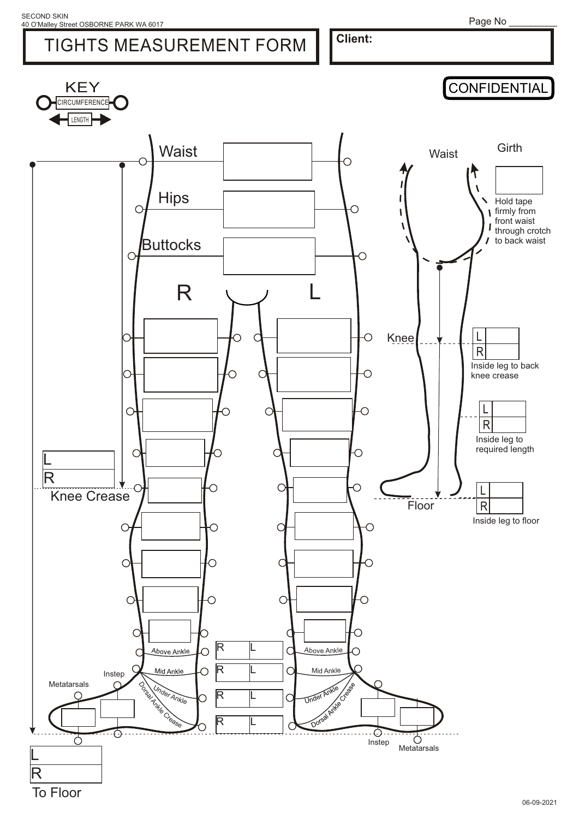Page No \_\_\_\_\_\_\_\_\_